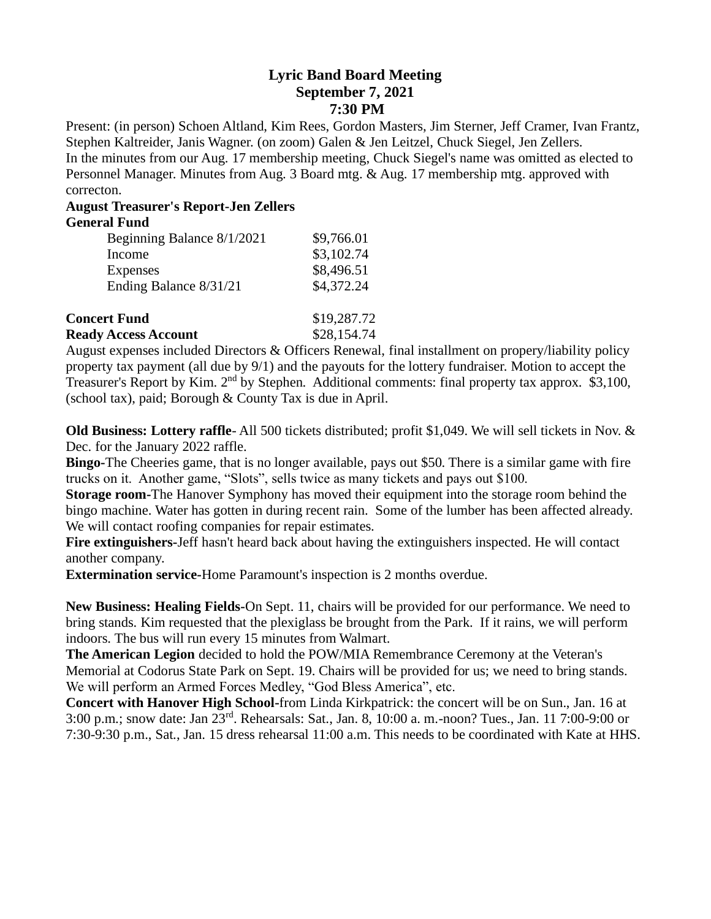## **Lyric Band Board Meeting September 7, 2021 7:30 PM**

Present: (in person) Schoen Altland, Kim Rees, Gordon Masters, Jim Sterner, Jeff Cramer, Ivan Frantz, Stephen Kaltreider, Janis Wagner. (on zoom) Galen & Jen Leitzel, Chuck Siegel, Jen Zellers. In the minutes from our Aug. 17 membership meeting, Chuck Siegel's name was omitted as elected to Personnel Manager. Minutes from Aug. 3 Board mtg. & Aug. 17 membership mtg. approved with correcton.

## **August Treasurer's Report-Jen Zellers General Fund**

| General Fund               |             |
|----------------------------|-------------|
| Beginning Balance 8/1/2021 | \$9,766.01  |
| Income                     | \$3,102.74  |
| <b>Expenses</b>            | \$8,496.51  |
| Ending Balance 8/31/21     | \$4,372.24  |
|                            |             |
| <b>Concert Fund</b>        | \$19,287.72 |

| Concel t unu                | 017,201.12  |
|-----------------------------|-------------|
| <b>Ready Access Account</b> | \$28,154.74 |

August expenses included Directors & Officers Renewal, final installment on propery/liability policy property tax payment (all due by 9/1) and the payouts for the lottery fundraiser. Motion to accept the Treasurer's Report by Kim. 2nd by Stephen. Additional comments: final property tax approx. \$3,100, (school tax), paid; Borough & County Tax is due in April.

**Old Business: Lottery raffle**- All 500 tickets distributed; profit \$1,049. We will sell tickets in Nov. & Dec. for the January 2022 raffle.

**Bingo-**The Cheeries game, that is no longer available, pays out \$50. There is a similar game with fire trucks on it. Another game, "Slots", sells twice as many tickets and pays out \$100.

**Storage room-**The Hanover Symphony has moved their equipment into the storage room behind the bingo machine. Water has gotten in during recent rain. Some of the lumber has been affected already. We will contact roofing companies for repair estimates.

**Fire extinguishers-**Jeff hasn't heard back about having the extinguishers inspected. He will contact another company.

**Extermination service-**Home Paramount's inspection is 2 months overdue.

**New Business: Healing Fields-**On Sept. 11, chairs will be provided for our performance. We need to bring stands. Kim requested that the plexiglass be brought from the Park. If it rains, we will perform indoors. The bus will run every 15 minutes from Walmart.

**The American Legion** decided to hold the POW/MIA Remembrance Ceremony at the Veteran's Memorial at Codorus State Park on Sept. 19. Chairs will be provided for us; we need to bring stands. We will perform an Armed Forces Medley, "God Bless America", etc.

**Concert with Hanover High School-**from Linda Kirkpatrick: the concert will be on Sun., Jan. 16 at 3:00 p.m.; snow date: Jan 23rd. Rehearsals: Sat., Jan. 8, 10:00 a. m.-noon? Tues., Jan. 11 7:00-9:00 or 7:30-9:30 p.m., Sat., Jan. 15 dress rehearsal 11:00 a.m. This needs to be coordinated with Kate at HHS.